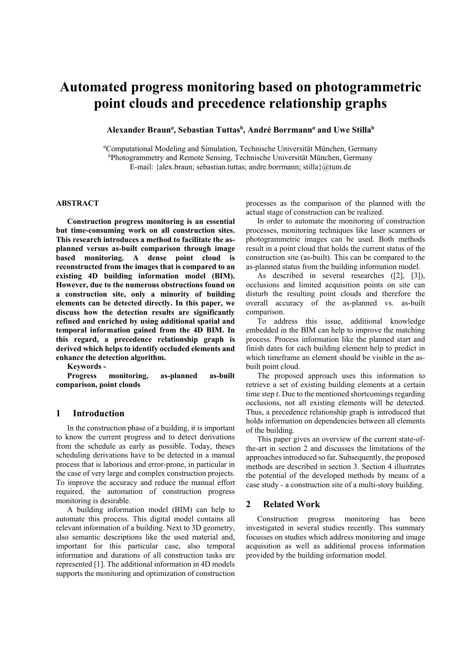# **Automated progress monitoring based on photogrammetric point clouds and precedence relationship graphs**

**Alexander Braun***<sup>a</sup>* **, Sebastian Tuttasb , André Borrmann***<sup>a</sup>*  **and Uwe Stillab**

*a* Computational Modeling and Simulation, Technische Universität München, Germany *b* Photogrammetry and Remote Sensing, Technische Universität München, Germany E-mail: {alex.braun; sebastian.tuttas; andre.borrmann; stilla}@tum.de

#### **ABSTRACT**

**Construction progress monitoring is an essential but time-consuming work on all construction sites. This research introduces a method to facilitate the asplanned versus as-built comparison through image based monitoring. A dense point cloud is reconstructed from the images that is compared to an existing 4D building information model (BIM). However, due to the numerous obstructions found on a construction site, only a minority of building elements can be detected directly. In this paper, we discuss how the detection results are significantly refined and enriched by using additional spatial and temporal information gained from the 4D BIM. In this regard, a precedence relationship graph is derived which helps to identify occluded elements and enhance the detection algorithm.** 

**Keywords -** 

**Progress monitoring, as-planned as-built comparison, point clouds** 

## **1 Introduction**

In the construction phase of a building, it is important to know the current progress and to detect derivations from the schedule as early as possible. Today, theses scheduling derivations have to be detected in a manual process that is laborious and error-prone, in particular in the case of very large and complex construction projects. To improve the accuracy and reduce the manual effort required, the automation of construction progress monitoring is desirable.

A building information model (BIM) can help to automate this process. This digital model contains all relevant information of a building. Next to 3D geometry, also semantic descriptions like the used material and, important for this particular case, also temporal information and durations of all construction tasks are represented [1]. The additional information in 4D models supports the monitoring and optimization of construction processes as the comparison of the planned with the actual stage of construction can be realized.

In order to automate the monitoring of construction processes, monitoring techniques like laser scanners or photogrammetric images can be used. Both methods result in a point cloud that holds the current status of the construction site (as-built). This can be compared to the as-planned status from the building information model.

As described in several researches ([2], [3]), occlusions and limited acquisition points on site can disturb the resulting point clouds and therefore the overall accuracy of the as-planned vs. as-built comparison.

To address this issue, additional knowledge embedded in the BIM can help to improve the matching process. Process information like the planned start and finish dates for each building element help to predict in which timeframe an element should be visible in the asbuilt point cloud.

The proposed approach uses this information to retrieve a set of existing building elements at a certain time step *t*. Due to the mentioned shortcomings regarding occlusions, not all existing elements will be detected. Thus, a precedence relationship graph is introduced that holds information on dependencies between all elements of the building.

This paper gives an overview of the current state-ofthe-art in section 2 and discusses the limitations of the approaches introduced so far. Subsequently, the proposed methods are described in section 3. Section 4 illustrates the potential of the developed methods by means of a case study - a construction site of a multi-story building.

# **2 Related Work**

Construction progress monitoring has been investigated in several studies recently. This summary focusses on studies which address monitoring and image acquisition as well as additional process information provided by the building information model.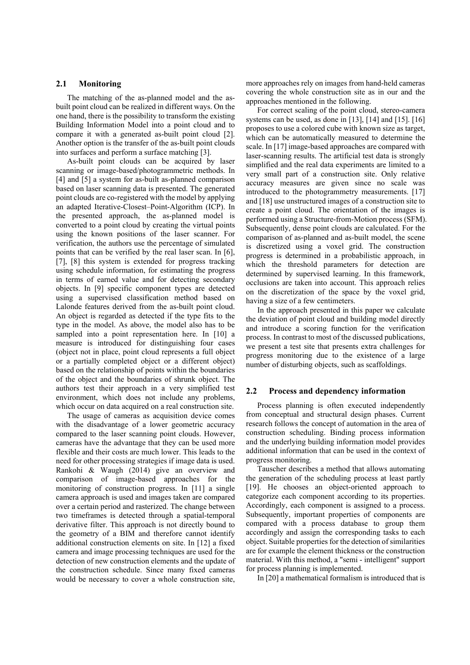# **2.1 Monitoring**

The matching of the as-planned model and the asbuilt point cloud can be realized in different ways. On the one hand, there is the possibility to transform the existing Building Information Model into a point cloud and to compare it with a generated as-built point cloud [2]. Another option is the transfer of the as-built point clouds into surfaces and perform a surface matching [3].

As-built point clouds can be acquired by laser scanning or image-based/photogrammetric methods. In [4] and [5] a system for as-built as-planned comparison based on laser scanning data is presented. The generated point clouds are co-registered with the model by applying an adapted Iterative-Closest–Point-Algorithm (ICP). In the presented approach, the as-planned model is converted to a point cloud by creating the virtual points using the known positions of the laser scanner. For verification, the authors use the percentage of simulated points that can be verified by the real laser scan. In [6], [7], [8] this system is extended for progress tracking using schedule information, for estimating the progress in terms of earned value and for detecting secondary objects. In [9] specific component types are detected using a supervised classification method based on Lalonde features derived from the as-built point cloud. An object is regarded as detected if the type fits to the type in the model. As above, the model also has to be sampled into a point representation here. In [10] a measure is introduced for distinguishing four cases (object not in place, point cloud represents a full object or a partially completed object or a different object) based on the relationship of points within the boundaries of the object and the boundaries of shrunk object. The authors test their approach in a very simplified test environment, which does not include any problems, which occur on data acquired on a real construction site.

The usage of cameras as acquisition device comes with the disadvantage of a lower geometric accuracy compared to the laser scanning point clouds. However, cameras have the advantage that they can be used more flexible and their costs are much lower. This leads to the need for other processing strategies if image data is used. Rankohi & Waugh (2014) give an overview and comparison of image-based approaches for the monitoring of construction progress. In [11] a single camera approach is used and images taken are compared over a certain period and rasterized. The change between two timeframes is detected through a spatial-temporal derivative filter. This approach is not directly bound to the geometry of a BIM and therefore cannot identify additional construction elements on site. In [12] a fixed camera and image processing techniques are used for the detection of new construction elements and the update of the construction schedule. Since many fixed cameras would be necessary to cover a whole construction site,

more approaches rely on images from hand-held cameras covering the whole construction site as in our and the approaches mentioned in the following.

For correct scaling of the point cloud, stereo-camera systems can be used, as done in [13], [14] and [15]. [16] proposes to use a colored cube with known size as target, which can be automatically measured to determine the scale. In [17] image-based approaches are compared with laser-scanning results. The artificial test data is strongly simplified and the real data experiments are limited to a very small part of a construction site. Only relative accuracy measures are given since no scale was introduced to the photogrammetry measurements. [17] and [18] use unstructured images of a construction site to create a point cloud. The orientation of the images is performed using a Structure-from-Motion process (SFM). Subsequently, dense point clouds are calculated. For the comparison of as-planned and as-built model, the scene is discretized using a voxel grid. The construction progress is determined in a probabilistic approach, in which the threshold parameters for detection are determined by supervised learning. In this framework, occlusions are taken into account. This approach relies on the discretization of the space by the voxel grid, having a size of a few centimeters.

In the approach presented in this paper we calculate the deviation of point cloud and building model directly and introduce a scoring function for the verification process. In contrast to most of the discussed publications, we present a test site that presents extra challenges for progress monitoring due to the existence of a large number of disturbing objects, such as scaffoldings.

### **2.2 Process and dependency information**

Process planning is often executed independently from conceptual and structural design phases. Current research follows the concept of automation in the area of construction scheduling. Binding process information and the underlying building information model provides additional information that can be used in the context of progress monitoring.

Tauscher describes a method that allows automating the generation of the scheduling process at least partly [19]. He chooses an object-oriented approach to categorize each component according to its properties. Accordingly, each component is assigned to a process. Subsequently, important properties of components are compared with a process database to group them accordingly and assign the corresponding tasks to each object. Suitable properties for the detection of similarities are for example the element thickness or the construction material. With this method, a "semi - intelligent" support for process planning is implemented.

In [20] a mathematical formalism is introduced that is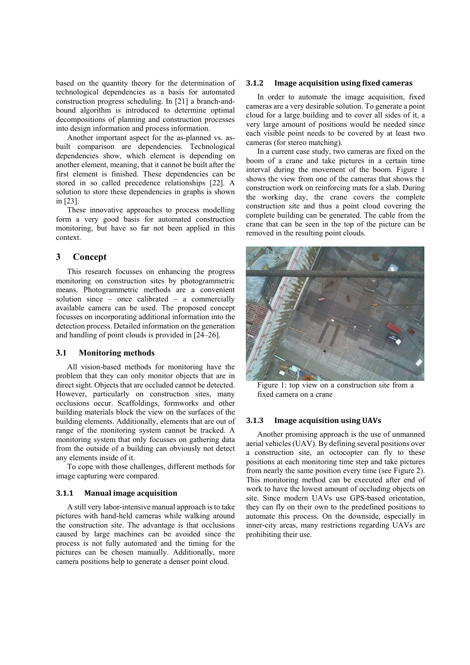based on the quantity theory for the determination of technological dependencies as a basis for automated construction progress scheduling. In [21] a branch-andbound algorithm is introduced to determine optimal decompositions of planning and construction processes into design information and process information.

Another important aspect for the as-planned vs. asbuilt comparison are dependencies. Technological dependencies show, which element is depending on another element, meaning, that it cannot be built after the first element is finished. These dependencies can be stored in so called precedence relationships [22]. A solution to store these dependencies in graphs is shown in [23].

These innovative approaches to process modelling form a very good basis for automated construction monitoring, but have so far not been applied in this context.

# **3 Concept**

This research focusses on enhancing the progress monitoring on construction sites by photogrammetric means. Photogrammetric methods are a convenient solution since – once calibrated – a commercially available camera can be used. The proposed concept focusses on incorporating additional information into the detection process. Detailed information on the generation and handling of point clouds is provided in [24–26].

# **3.1 Monitoring methods**

All vision-based methods for monitoring have the problem that they can only monitor objects that are in direct sight. Objects that are occluded cannot be detected. However, particularly on construction sites, many occlusions occur. Scaffoldings, formworks and other building materials block the view on the surfaces of the building elements. Additionally, elements that are out of range of the monitoring system cannot be tracked. A monitoring system that only focusses on gathering data from the outside of a building can obviously not detect any elements inside of it.

To cope with those challenges, different methods for image capturing were compared.

#### **3.1.1 Manual image acquisition**

A still very labor-intensive manual approach is to take pictures with hand-held cameras while walking around the construction site. The advantage is that occlusions caused by large machines can be avoided since the process is not fully automated and the timing for the pictures can be chosen manually. Additionally, more camera positions help to generate a denser point cloud.

#### **3.1.2 Image acquisition using fixed cameras**

In order to automate the image acquisition, fixed cameras are a very desirable solution. To generate a point cloud for a large building and to cover all sides of it, a very large amount of positions would be needed since each visible point needs to be covered by at least two cameras (for stereo matching).

In a current case study, two cameras are fixed on the boom of a crane and take pictures in a certain time interval during the movement of the boom. Figure 1 shows the view from one of the cameras that shows the construction work on reinforcing mats for a slab. During the working day, the crane covers the complete construction site and thus a point cloud covering the complete building can be generated. The cable from the crane that can be seen in the top of the picture can be removed in the resulting point clouds.



Figure 1: top view on a construction site from a fixed camera on a crane

#### **3.1.3 Image acquisition using UAVs**

Another promising approach is the use of unmanned aerial vehicles (UAV). By defining several positions over a construction site, an octocopter can fly to these positions at each monitoring time step and take pictures from nearly the same position every time (see Figure 2). This monitoring method can be executed after end of work to have the lowest amount of occluding objects on site. Since modern UAVs use GPS-based orientation, they can fly on their own to the predefined positions to automate this process. On the downside, especially in inner-city areas, many restrictions regarding UAVs are prohibiting their use.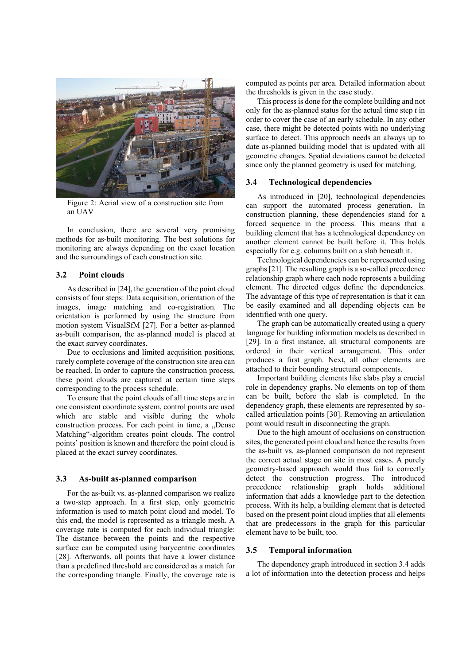

Figure 2: Aerial view of a construction site from an UAV

In conclusion, there are several very promising methods for as-built monitoring. The best solutions for monitoring are always depending on the exact location and the surroundings of each construction site.

## **3.2 Point clouds**

As described in [24], the generation of the point cloud consists of four steps: Data acquisition, orientation of the images, image matching and co-registration. The orientation is performed by using the structure from motion system VisualSfM [27]. For a better as-planned as-built comparison, the as-planned model is placed at the exact survey coordinates.

Due to occlusions and limited acquisition positions, rarely complete coverage of the construction site area can be reached. In order to capture the construction process, these point clouds are captured at certain time steps corresponding to the process schedule.

To ensure that the point clouds of all time steps are in one consistent coordinate system, control points are used which are stable and visible during the whole construction process. For each point in time, a "Dense Matching"-algorithm creates point clouds. The control points' position is known and therefore the point cloud is placed at the exact survey coordinates.

#### **3.3 As-built as-planned comparison**

For the as-built vs. as-planned comparison we realize a two-step approach. In a first step, only geometric information is used to match point cloud and model. To this end, the model is represented as a triangle mesh. A coverage rate is computed for each individual triangle: The distance between the points and the respective surface can be computed using barycentric coordinates [28]. Afterwards, all points that have a lower distance than a predefined threshold are considered as a match for the corresponding triangle. Finally, the coverage rate is computed as points per area. Detailed information about the thresholds is given in the case study.

This process is done for the complete building and not only for the as-planned status for the actual time step *t* in order to cover the case of an early schedule. In any other case, there might be detected points with no underlying surface to detect. This approach needs an always up to date as-planned building model that is updated with all geometric changes. Spatial deviations cannot be detected since only the planned geometry is used for matching.

#### **3.4 Technological dependencies**

As introduced in [20], technological dependencies can support the automated process generation. In construction planning, these dependencies stand for a forced sequence in the process. This means that a building element that has a technological dependency on another element cannot be built before it. This holds especially for e.g. columns built on a slab beneath it.

Technological dependencies can be represented using graphs [21]. The resulting graph is a so-called precedence relationship graph where each node represents a building element. The directed edges define the dependencies. The advantage of this type of representation is that it can be easily examined and all depending objects can be identified with one query.

The graph can be automatically created using a query language for building information models as described in [29]. In a first instance, all structural components are ordered in their vertical arrangement. This order produces a first graph. Next, all other elements are attached to their bounding structural components.

Important building elements like slabs play a crucial role in dependency graphs. No elements on top of them can be built, before the slab is completed. In the dependency graph, these elements are represented by socalled articulation points [30]. Removing an articulation point would result in disconnecting the graph.

Due to the high amount of occlusions on construction sites, the generated point cloud and hence the results from the as-built vs. as-planned comparison do not represent the correct actual stage on site in most cases. A purely geometry-based approach would thus fail to correctly detect the construction progress. The introduced precedence relationship graph holds additional information that adds a knowledge part to the detection process. With its help, a building element that is detected based on the present point cloud implies that all elements that are predecessors in the graph for this particular element have to be built, too.

#### **3.5 Temporal information**

The dependency graph introduced in section 3.4 adds a lot of information into the detection process and helps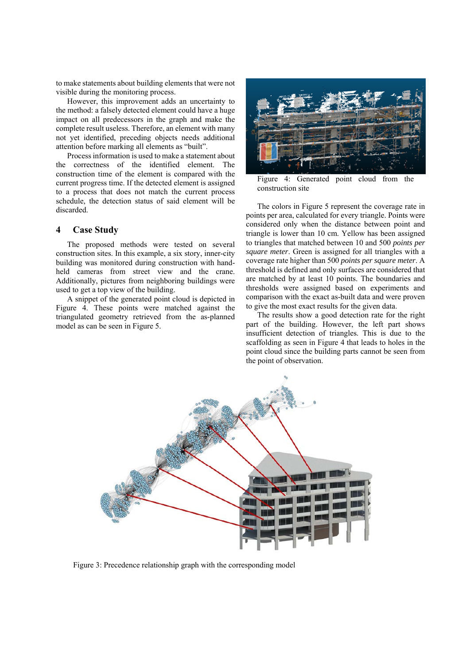to make statements about building elements that were not visible during the monitoring process.

However, this improvement adds an uncertainty to the method: a falsely detected element could have a huge impact on all predecessors in the graph and make the complete result useless. Therefore, an element with many not yet identified, preceding objects needs additional attention before marking all elements as "built".

Process information is used to make a statement about the correctness of the identified element. The construction time of the element is compared with the current progress time. If the detected element is assigned to a process that does not match the current process schedule, the detection status of said element will be discarded.

# **4 Case Study**

The proposed methods were tested on several construction sites. In this example, a six story, inner-city building was monitored during construction with handheld cameras from street view and the crane. Additionally, pictures from neighboring buildings were used to get a top view of the building.

A snippet of the generated point cloud is depicted in Figure 4. These points were matched against the triangulated geometry retrieved from the as-planned model as can be seen in Figure 5.



Figure 4: Generated point cloud from the construction site

The colors in Figure 5 represent the coverage rate in points per area, calculated for every triangle. Points were considered only when the distance between point and triangle is lower than 10 cm. Yellow has been assigned to triangles that matched between 10 and 500 *points per square meter*. Green is assigned for all triangles with a coverage rate higher than 500 *points per square meter*. A threshold is defined and only surfaces are considered that are matched by at least 10 points. The boundaries and thresholds were assigned based on experiments and comparison with the exact as-built data and were proven to give the most exact results for the given data.

The results show a good detection rate for the right part of the building. However, the left part shows insufficient detection of triangles. This is due to the scaffolding as seen in Figure 4 that leads to holes in the point cloud since the building parts cannot be seen from the point of observation.



Figure 3: Precedence relationship graph with the corresponding model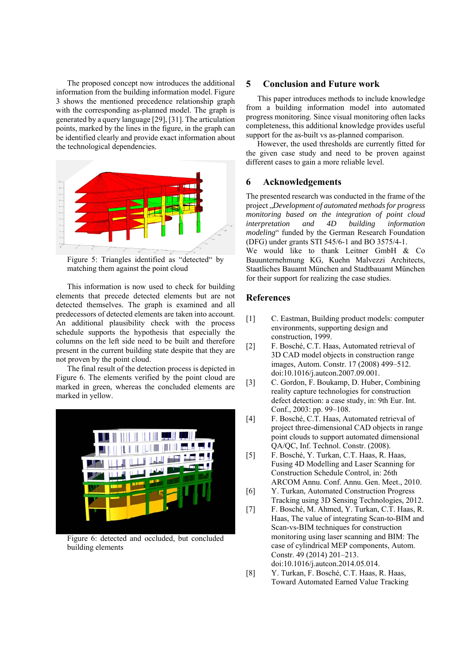The proposed concept now introduces the additional information from the building information model. Figure 3 shows the mentioned precedence relationship graph with the corresponding as-planned model. The graph is generated by a query language [29], [31]. The articulation points, marked by the lines in the figure, in the graph can be identified clearly and provide exact information about the technological dependencies.



Figure 5: Triangles identified as "detected" by matching them against the point cloud

This information is now used to check for building elements that precede detected elements but are not detected themselves. The graph is examined and all predecessors of detected elements are taken into account. An additional plausibility check with the process schedule supports the hypothesis that especially the columns on the left side need to be built and therefore present in the current building state despite that they are not proven by the point cloud.

The final result of the detection process is depicted in Figure 6. The elements verified by the point cloud are marked in green, whereas the concluded elements are marked in yellow.



Figure 6: detected and occluded, but concluded building elements

# **5 Conclusion and Future work**

This paper introduces methods to include knowledge from a building information model into automated progress monitoring. Since visual monitoring often lacks completeness, this additional knowledge provides useful support for the as-built vs as-planned comparison.

However, the used thresholds are currently fitted for the given case study and need to be proven against different cases to gain a more reliable level.

# **6 Acknowledgements**

The presented research was conducted in the frame of the project "*Development of automated methods for progress monitoring based on the integration of point cloud interpretation and 4D building information modeling*" funded by the German Research Foundation (DFG) under grants STI 545/6-1 and BO 3575/4-1.

We would like to thank Leitner GmbH & Co Bauunternehmung KG, Kuehn Malvezzi Architects, Staatliches Bauamt München and Stadtbauamt München for their support for realizing the case studies.

# **References**

- [1] C. Eastman, Building product models: computer environments, supporting design and construction, 1999.
- [2] F. Bosché, C.T. Haas, Automated retrieval of 3D CAD model objects in construction range images, Autom. Constr. 17 (2008) 499–512. doi:10.1016/j.autcon.2007.09.001.
- [3] C. Gordon, F. Boukamp, D. Huber, Combining reality capture technologies for construction defect detection: a case study, in: 9th Eur. Int. Conf., 2003: pp. 99–108.
- [4] F. Bosché, C.T. Haas, Automated retrieval of project three-dimensional CAD objects in range point clouds to support automated dimensional QA/QC, Inf. Technol. Constr. (2008).
- [5] F. Bosché, Y. Turkan, C.T. Haas, R. Haas, Fusing 4D Modelling and Laser Scanning for Construction Schedule Control, in: 26th ARCOM Annu. Conf. Annu. Gen. Meet., 2010.
- [6] Y. Turkan, Automated Construction Progress Tracking using 3D Sensing Technologies, 2012.
- [7] F. Bosché, M. Ahmed, Y. Turkan, C.T. Haas, R. Haas, The value of integrating Scan-to-BIM and Scan-vs-BIM techniques for construction monitoring using laser scanning and BIM: The case of cylindrical MEP components, Autom. Constr. 49 (2014) 201–213. doi:10.1016/j.autcon.2014.05.014.
- [8] Y. Turkan, F. Bosché, C.T. Haas, R. Haas, Toward Automated Earned Value Tracking